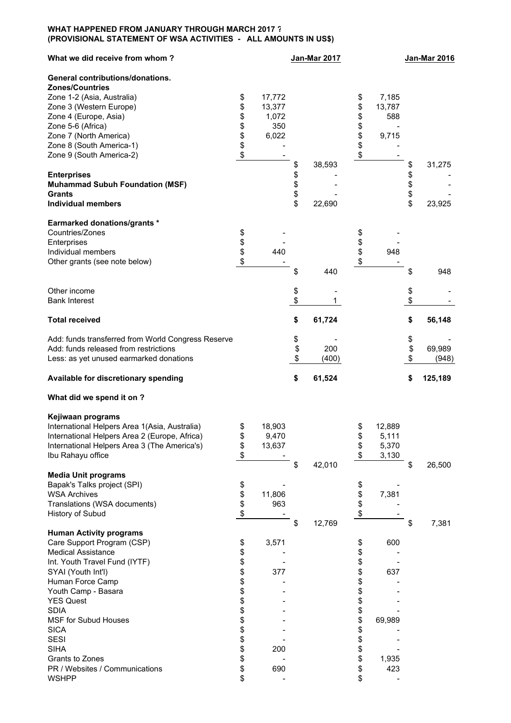## **WHAT HAPPENED FROM JANUARY THROUGH MARCH 2017 ? (PROVISIONAL STATEMENT OF WSA ACTIVITIES - ALL AMOUNTS IN US\$)**

| What we did receive from whom?                                                                |          |                 | <b>Jan-Mar 2017</b> |          |                | <b>Jan-Mar 2016</b> |         |  |
|-----------------------------------------------------------------------------------------------|----------|-----------------|---------------------|----------|----------------|---------------------|---------|--|
| General contributions/donations.                                                              |          |                 |                     |          |                |                     |         |  |
| <b>Zones/Countries</b>                                                                        |          |                 |                     |          |                |                     |         |  |
| Zone 1-2 (Asia, Australia)                                                                    | \$       | 17,772          |                     | \$       | 7,185          |                     |         |  |
| Zone 3 (Western Europe)                                                                       | \$       | 13,377          |                     | \$       | 13,787         |                     |         |  |
| Zone 4 (Europe, Asia)                                                                         | \$       | 1,072           |                     | \$       | 588            |                     |         |  |
| Zone 5-6 (Africa)                                                                             | \$       | 350             |                     | \$       |                |                     |         |  |
| Zone 7 (North America)                                                                        | \$       | 6,022           |                     | \$       | 9,715          |                     |         |  |
| Zone 8 (South America-1)                                                                      | \$       |                 |                     | \$       |                |                     |         |  |
| Zone 9 (South America-2)                                                                      | \$       |                 |                     |          |                |                     |         |  |
|                                                                                               |          |                 | \$<br>38,593        |          |                | \$                  | 31,275  |  |
| <b>Enterprises</b>                                                                            |          |                 | \$                  |          |                | \$                  |         |  |
| <b>Muhammad Subuh Foundation (MSF)</b>                                                        |          |                 | \$                  |          |                | \$                  |         |  |
| <b>Grants</b>                                                                                 |          |                 | \$                  |          |                |                     |         |  |
| <b>Individual members</b>                                                                     |          |                 | \$<br>22,690        |          |                | \$<br>\$            | 23,925  |  |
| <b>Earmarked donations/grants *</b>                                                           |          |                 |                     |          |                |                     |         |  |
| Countries/Zones                                                                               | \$       |                 |                     | \$       |                |                     |         |  |
| Enterprises                                                                                   | \$       |                 |                     | \$       |                |                     |         |  |
| Individual members                                                                            | \$       | 440             |                     | \$       | 948            |                     |         |  |
| Other grants (see note below)                                                                 | \$       |                 |                     |          |                |                     |         |  |
|                                                                                               |          |                 | \$<br>440           |          |                | \$                  | 948     |  |
| Other income                                                                                  |          |                 | \$                  |          |                | \$                  |         |  |
| <b>Bank Interest</b>                                                                          |          |                 | \$<br>1.            |          |                | \$                  |         |  |
| <b>Total received</b>                                                                         |          |                 | \$<br>61,724        |          |                | \$                  | 56,148  |  |
| Add: funds transferred from World Congress Reserve                                            |          |                 | \$                  |          |                | \$                  |         |  |
| Add: funds released from restrictions                                                         |          |                 | \$<br>200           |          |                | \$                  | 69,989  |  |
| Less: as yet unused earmarked donations                                                       |          |                 | \$<br>(400)         |          |                | \$                  | (948)   |  |
| Available for discretionary spending                                                          |          |                 | \$<br>61,524        |          |                | \$                  | 125,189 |  |
|                                                                                               |          |                 |                     |          |                |                     |         |  |
|                                                                                               |          |                 |                     |          |                |                     |         |  |
| What did we spend it on ?                                                                     |          |                 |                     |          |                |                     |         |  |
| Kejiwaan programs                                                                             |          |                 |                     |          |                |                     |         |  |
| International Helpers Area 1(Asia, Australia)                                                 | \$       | 18,903          |                     | \$       | 12,889         |                     |         |  |
|                                                                                               |          |                 |                     |          |                |                     |         |  |
| International Helpers Area 2 (Europe, Africa)<br>International Helpers Area 3 (The America's) | \$       | 9,470<br>13,637 |                     | \$<br>\$ | 5,111<br>5,370 |                     |         |  |
|                                                                                               | \$       |                 |                     | \$       |                |                     |         |  |
| Ibu Rahayu office                                                                             | \$       |                 |                     |          | 3,130          |                     |         |  |
|                                                                                               |          |                 | \$<br>42,010        |          |                | \$                  | 26,500  |  |
| <b>Media Unit programs</b>                                                                    |          |                 |                     |          |                |                     |         |  |
| Bapak's Talks project (SPI)                                                                   | \$       |                 |                     | \$       |                |                     |         |  |
| <b>WSA Archives</b>                                                                           | \$       | 11,806          |                     | \$       | 7,381          |                     |         |  |
| Translations (WSA documents)                                                                  | \$       | 963             |                     | \$       |                |                     |         |  |
| History of Subud                                                                              | \$       |                 | \$<br>12,769        | \$       |                | \$                  | 7,381   |  |
| <b>Human Activity programs</b>                                                                |          |                 |                     |          |                |                     |         |  |
| Care Support Program (CSP)                                                                    | \$       | 3,571           |                     | \$       | 600            |                     |         |  |
| <b>Medical Assistance</b>                                                                     |          |                 |                     | \$       |                |                     |         |  |
|                                                                                               | \$       |                 |                     |          |                |                     |         |  |
| Int. Youth Travel Fund (IYTF)                                                                 | \$       |                 |                     | \$       |                |                     |         |  |
| SYAI (Youth Int'l)                                                                            | \$       | 377             |                     | \$       | 637            |                     |         |  |
| Human Force Camp                                                                              | \$       |                 |                     | \$       |                |                     |         |  |
| Youth Camp - Basara                                                                           | \$       |                 |                     | \$       |                |                     |         |  |
| <b>YES Quest</b>                                                                              |          |                 |                     | \$       |                |                     |         |  |
| <b>SDIA</b>                                                                                   | \$<br>\$ |                 |                     | \$       |                |                     |         |  |
| <b>MSF for Subud Houses</b>                                                                   | \$       |                 |                     | \$       | 69,989         |                     |         |  |
| <b>SICA</b>                                                                                   | \$       |                 |                     | \$       |                |                     |         |  |
| <b>SESI</b>                                                                                   | \$       |                 |                     | \$       |                |                     |         |  |
| <b>SIHA</b>                                                                                   | \$       | 200             |                     | \$       |                |                     |         |  |
| Grants to Zones                                                                               | \$       |                 |                     | \$       | 1,935          |                     |         |  |
| PR / Websites / Communications<br><b>WSHPP</b>                                                | \$<br>\$ | 690             |                     | \$<br>\$ | 423            |                     |         |  |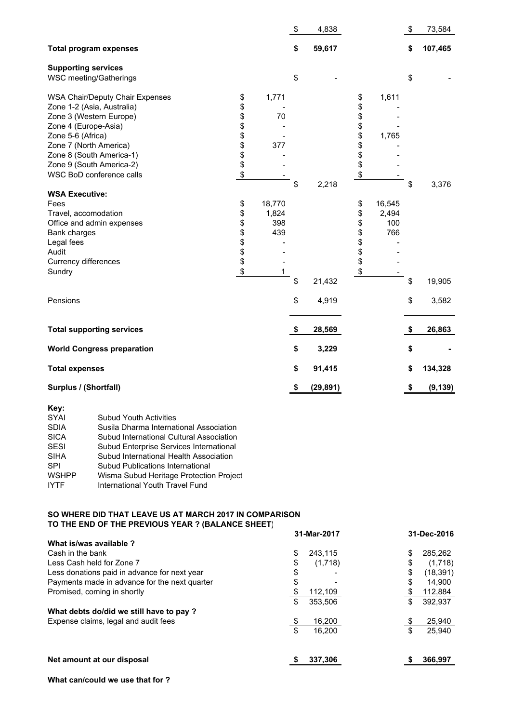|                                          |                                    | \$<br>4,838     |                                                    |                               | \$<br>73,584   |
|------------------------------------------|------------------------------------|-----------------|----------------------------------------------------|-------------------------------|----------------|
|                                          |                                    | \$<br>59,617    |                                                    |                               | \$<br>107,465  |
|                                          |                                    | \$              |                                                    |                               | \$             |
| \$<br>\$<br>\$<br>\$<br>\$<br>\$\$<br>\$ | 1,771<br>70<br>377                 |                 | \$<br>\$<br>\$<br>\$<br>\$<br>\$<br>\$<br>\$<br>\$ | 1,611<br>1,765                |                |
|                                          |                                    | \$<br>2,218     |                                                    |                               | \$<br>3,376    |
| \$<br>\$<br>\$<br>\$<br>\$\$<br>\$       | 18,770<br>1,824<br>398<br>439<br>1 |                 | \$<br>\$<br>\$<br>\$<br>\$<br>\$<br>\$<br>\$       | 16,545<br>2,494<br>100<br>766 |                |
|                                          |                                    | \$<br>21,432    |                                                    |                               | \$<br>19,905   |
|                                          |                                    | \$<br>4,919     |                                                    |                               | \$<br>3,582    |
|                                          |                                    | \$<br>28,569    |                                                    |                               | \$<br>26,863   |
|                                          |                                    | \$<br>3,229     |                                                    |                               | \$             |
|                                          |                                    | \$<br>91,415    |                                                    |                               | \$<br>134,328  |
|                                          |                                    | \$<br>(29, 891) |                                                    |                               | \$<br>(9, 139) |
|                                          |                                    |                 |                                                    |                               |                |

| Key:         |                                          |
|--------------|------------------------------------------|
| <b>SYAI</b>  | <b>Subud Youth Activities</b>            |
| <b>SDIA</b>  | Susila Dharma International Association  |
| <b>SICA</b>  | Subud International Cultural Association |
| <b>SESI</b>  | Subud Enterprise Services International  |
| <b>SIHA</b>  | Subud International Health Association   |
| <b>SPI</b>   | Subud Publications International         |
| <b>WSHPP</b> | Wisma Subud Heritage Protection Project  |
| <b>IYTF</b>  | International Youth Travel Fund          |

## **SO WHERE DID THAT LEAVE US AT MARCH 2017 IN COMPARISON TO THE END OF THE PREVIOUS YEAR ? (BALANCE SHEET)**

|                                               | 31-Mar-2017   | 31-Dec-2016 |           |  |
|-----------------------------------------------|---------------|-------------|-----------|--|
| What is/was available?                        |               |             |           |  |
| Cash in the bank                              | \$<br>243.115 | \$          | 285,262   |  |
| Less Cash held for Zone 7                     | \$<br>(1,718) | \$          | (1,718)   |  |
| Less donations paid in advance for next year  | \$            | \$          | (18, 391) |  |
| Payments made in advance for the next quarter | \$            | \$          | 14.900    |  |
| Promised, coming in shortly                   | 112,109       | \$          | 112,884   |  |
|                                               | \$<br>353.506 | \$          | 392,937   |  |
| What debts do/did we still have to pay ?      |               |             |           |  |
| Expense claims, legal and audit fees          | 16,200        | \$          | 25,940    |  |
|                                               | \$<br>16.200  | \$          | 25.940    |  |
| Net amount at our disposal                    | 337.306       | \$          | 366.997   |  |

**What can/could we use that for ?**